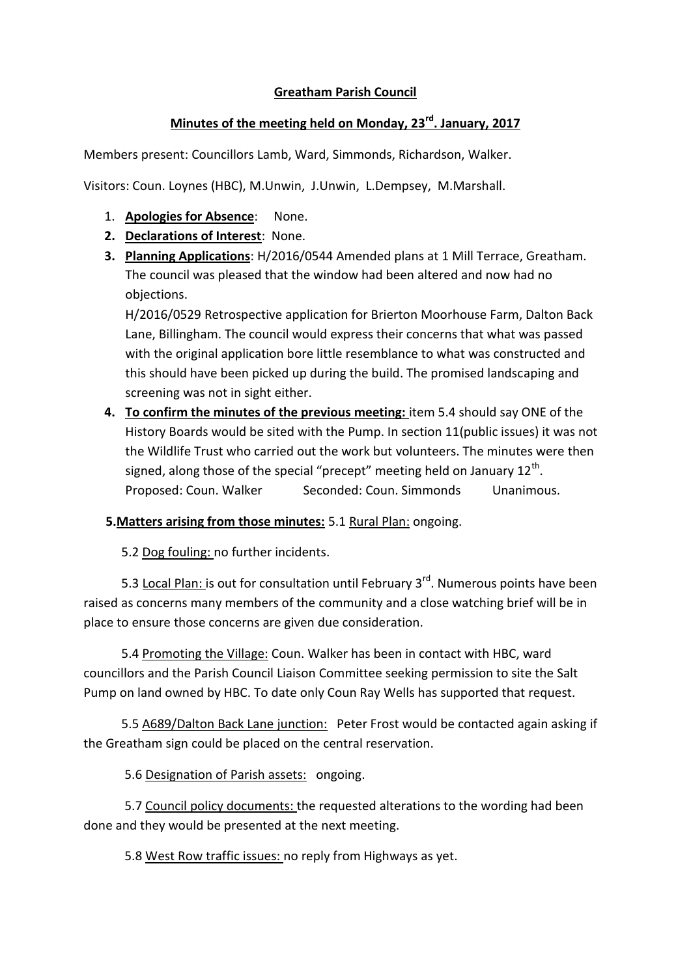## **Greatham Parish Council**

## **Minutes of the meeting held on Monday, 23rd. January, 2017**

Members present: Councillors Lamb, Ward, Simmonds, Richardson, Walker.

Visitors: Coun. Loynes (HBC), M.Unwin, J.Unwin, L.Dempsey, M.Marshall.

- 1. **Apologies for Absence**: None.
- **2. Declarations of Interest**: None.
- **3. Planning Applications**: H/2016/0544 Amended plans at 1 Mill Terrace, Greatham. The council was pleased that the window had been altered and now had no objections.

H/2016/0529 Retrospective application for Brierton Moorhouse Farm, Dalton Back Lane, Billingham. The council would express their concerns that what was passed with the original application bore little resemblance to what was constructed and this should have been picked up during the build. The promised landscaping and screening was not in sight either.

**4. To confirm the minutes of the previous meeting:** item 5.4 should say ONE of the History Boards would be sited with the Pump. In section 11(public issues) it was not the Wildlife Trust who carried out the work but volunteers. The minutes were then signed, along those of the special "precept" meeting held on January 12<sup>th</sup>. Proposed: Coun. Walker Seconded: Coun. Simmonds Unanimous.

## **5.Matters arising from those minutes:** 5.1 Rural Plan: ongoing.

5.2 Dog fouling: no further incidents.

5.3 Local Plan: is out for consultation until February 3<sup>rd</sup>. Numerous points have been raised as concerns many members of the community and a close watching brief will be in place to ensure those concerns are given due consideration.

 5.4 Promoting the Village: Coun. Walker has been in contact with HBC, ward councillors and the Parish Council Liaison Committee seeking permission to site the Salt Pump on land owned by HBC. To date only Coun Ray Wells has supported that request.

 5.5 A689/Dalton Back Lane junction: Peter Frost would be contacted again asking if the Greatham sign could be placed on the central reservation.

5.6 Designation of Parish assets: ongoing.

 5.7 Council policy documents: the requested alterations to the wording had been done and they would be presented at the next meeting.

5.8 West Row traffic issues: no reply from Highways as yet.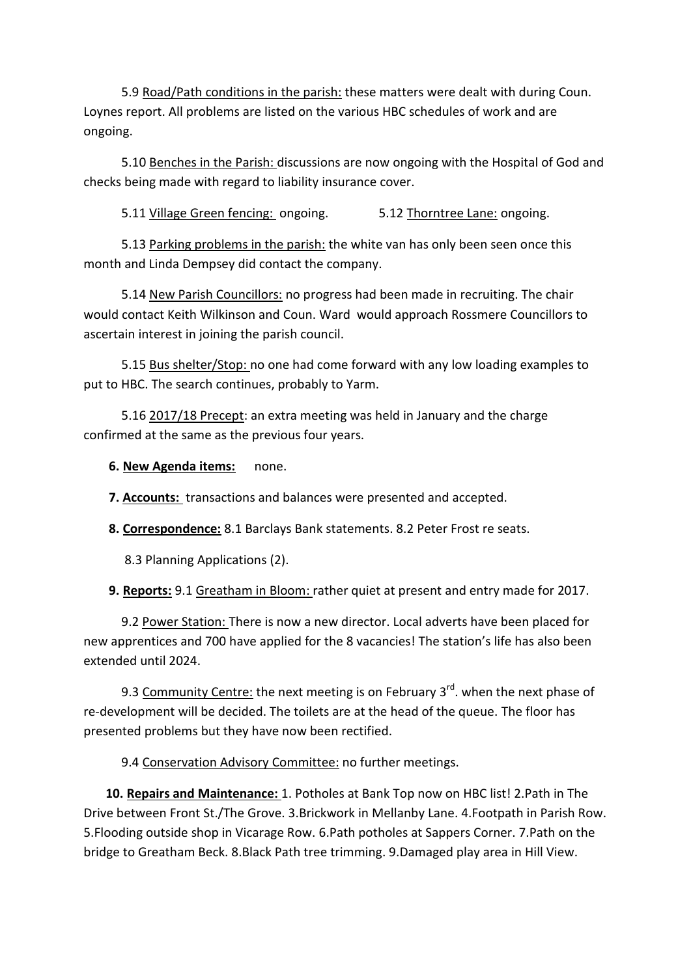5.9 Road/Path conditions in the parish: these matters were dealt with during Coun. Loynes report. All problems are listed on the various HBC schedules of work and are ongoing.

5.10 Benches in the Parish: discussions are now ongoing with the Hospital of God and checks being made with regard to liability insurance cover.

5.11 Village Green fencing: ongoing. 5.12 Thorntree Lane: ongoing.

5.13 Parking problems in the parish: the white van has only been seen once this month and Linda Dempsey did contact the company.

 5.14 New Parish Councillors: no progress had been made in recruiting. The chair would contact Keith Wilkinson and Coun. Ward would approach Rossmere Councillors to ascertain interest in joining the parish council.

 5.15 Bus shelter/Stop: no one had come forward with any low loading examples to put to HBC. The search continues, probably to Yarm.

 5.16 2017/18 Precept: an extra meeting was held in January and the charge confirmed at the same as the previous four years.

**6. New Agenda items:** none.

**7. Accounts:** transactions and balances were presented and accepted.

**8. Correspondence:** 8.1 Barclays Bank statements. 8.2 Peter Frost re seats.

8.3 Planning Applications (2).

**9. Reports:** 9.1 Greatham in Bloom: rather quiet at present and entry made for 2017.

 9.2 Power Station: There is now a new director. Local adverts have been placed for new apprentices and 700 have applied for the 8 vacancies! The station's life has also been extended until 2024.

9.3 Community Centre: the next meeting is on February  $3<sup>rd</sup>$ . when the next phase of re-development will be decided. The toilets are at the head of the queue. The floor has presented problems but they have now been rectified.

9.4 Conservation Advisory Committee: no further meetings.

 **10. Repairs and Maintenance:** 1. Potholes at Bank Top now on HBC list! 2.Path in The Drive between Front St./The Grove. 3.Brickwork in Mellanby Lane. 4.Footpath in Parish Row. 5.Flooding outside shop in Vicarage Row. 6.Path potholes at Sappers Corner. 7.Path on the bridge to Greatham Beck. 8.Black Path tree trimming. 9.Damaged play area in Hill View.